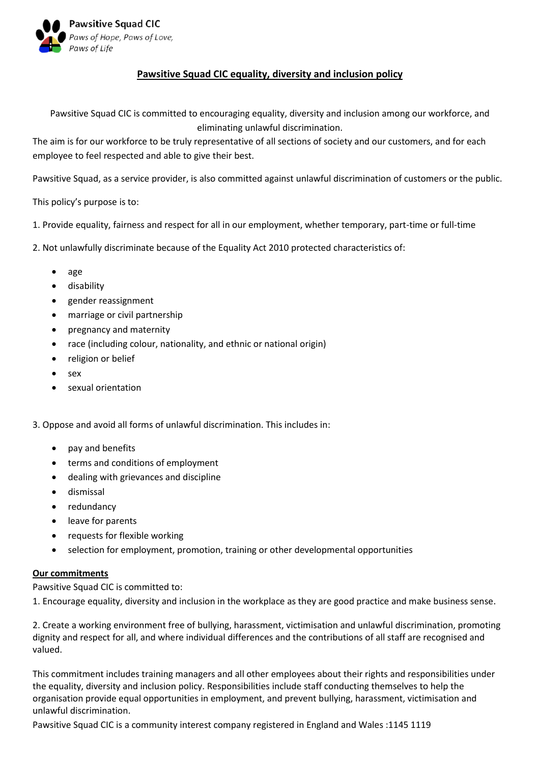

## **Pawsitive Squad CIC equality, diversity and inclusion policy**

Pawsitive Squad CIC is committed to encouraging equality, diversity and inclusion among our workforce, and eliminating unlawful discrimination.

The aim is for our workforce to be truly representative of all sections of society and our customers, and for each employee to feel respected and able to give their best.

Pawsitive Squad, as a service provider, is also committed against unlawful discrimination of customers or the public.

This policy's purpose is to:

- 1. Provide equality, fairness and respect for all in our employment, whether temporary, part-time or full-time
- 2. Not unlawfully discriminate because of the Equality Act 2010 protected characteristics of:
	- age
	- disability
	- gender reassignment
	- marriage or civil partnership
	- pregnancy and maternity
	- race (including colour, nationality, and ethnic or national origin)
	- religion or belief
	- sex
	- sexual orientation

3. Oppose and avoid all forms of unlawful discrimination. This includes in:

- pay and benefits
- terms and conditions of employment
- dealing with grievances and discipline
- dismissal
- redundancy
- leave for parents
- requests for flexible working
- selection for employment, promotion, training or other developmental opportunities

## **Our commitments**

Pawsitive Squad CIC is committed to:

1. Encourage equality, diversity and inclusion in the workplace as they are good practice and make business sense.

2. Create a working environment free of bullying, harassment, victimisation and unlawful discrimination, promoting dignity and respect for all, and where individual differences and the contributions of all staff are recognised and valued.

This commitment includes training managers and all other employees about their rights and responsibilities under the equality, diversity and inclusion policy. Responsibilities include staff conducting themselves to help the organisation provide equal opportunities in employment, and prevent bullying, harassment, victimisation and unlawful discrimination.

Pawsitive Squad CIC is a community interest company registered in England and Wales :1145 1119